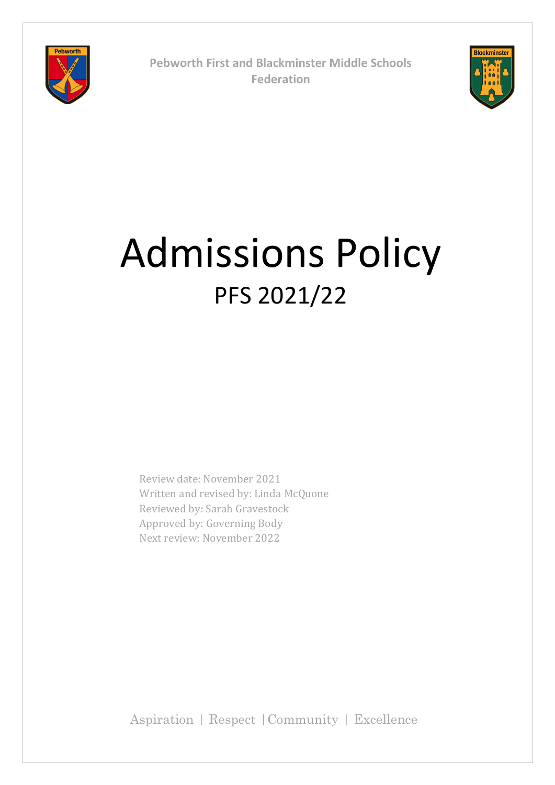

**Pebworth First and Blackminster Middle Schools Federation**



# Admissions Policy PFS 2021/22

Review date: November 2021 Written and revised by: Linda McQuone Reviewed by: Sarah Gravestock Approved by: Governing Body Next review: November 2022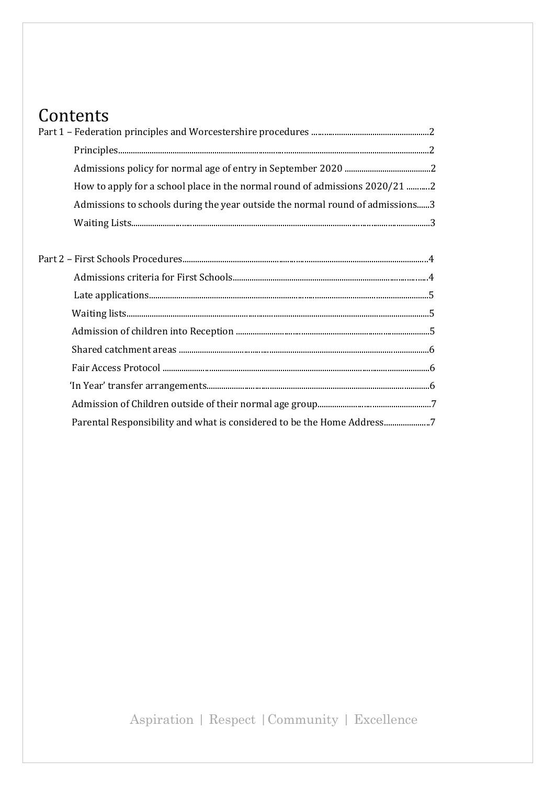# Contents

| How to apply for a school place in the normal round of admissions 2020/21 2   |  |
|-------------------------------------------------------------------------------|--|
| Admissions to schools during the year outside the normal round of admissions3 |  |
|                                                                               |  |
|                                                                               |  |
|                                                                               |  |

| Parental Responsibility and what is considered to be the Home Address7 |  |
|------------------------------------------------------------------------|--|
|                                                                        |  |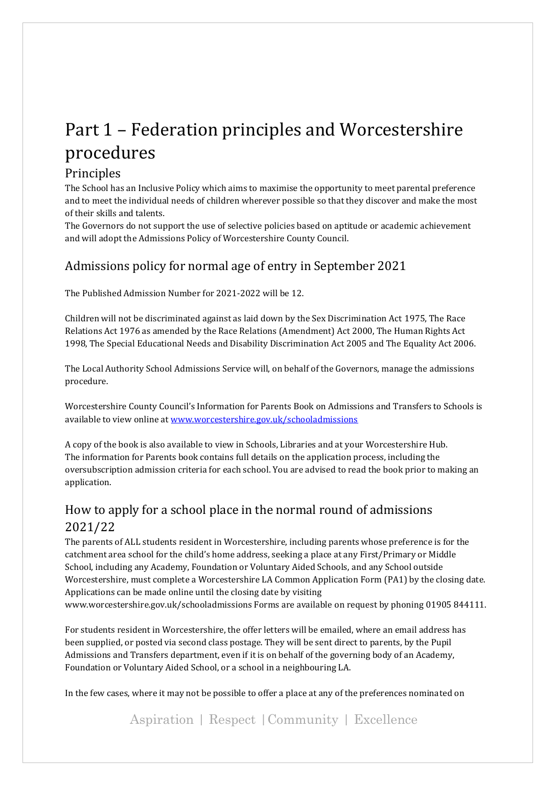# Part 1 – Federation principles and Worcestershire procedures

### Principles

The School has an Inclusive Policy which aims to maximise the opportunity to meet parental preference and to meet the individual needs of children wherever possible so that they discover and make the most of their skills and talents.

The Governors do not support the use of selective policies based on aptitude or academic achievement and will adopt the Admissions Policy of Worcestershire County Council.

# Admissions policy for normal age of entry in September 2021

The Published Admission Number for 2021-2022 will be 12.

Children will not be discriminated against as laid down by the Sex Discrimination Act 1975, The Race Relations Act 1976 as amended by the Race Relations (Amendment) Act 2000, The Human Rights Act 1998, The Special Educational Needs and Disability Discrimination Act 2005 and The Equality Act 2006.

The Local Authority School Admissions Service will, on behalf of the Governors, manage the admissions procedure.

Worcestershire County Council's Information for Parents Book on Admissions and Transfers to Schools is available to view online a[t www.worcestershire.gov.uk/schooladmissions](http://www.worcestershire.gov.uk/schooladmissions)

A copy of the book is also available to view in Schools, Libraries and at your Worcestershire Hub. The information for Parents book contains full details on the application process, including the oversubscription admission criteria for each school. You are advised to read the book prior to making an application.

# How to apply for a school place in the normal round of admissions 2021/22

The parents of ALL students resident in Worcestershire, including parents whose preference is for the catchment area school for the child's home address, seeking a place at any First/Primary or Middle School, including any Academy, Foundation or Voluntary Aided Schools, and any School outside Worcestershire, must complete a Worcestershire LA Common Application Form (PA1) by the closing date. Applications can be made online until the closing date by visiting www.worcestershire.gov.uk/schooladmissions Forms are available on request by phoning 01905 844111.

For students resident in Worcestershire, the offer letters will be emailed, where an email address has been supplied, or posted via second class postage. They will be sent direct to parents, by the Pupil Admissions and Transfers department, even if it is on behalf of the governing body of an Academy, Foundation or Voluntary Aided School, or a school in a neighbouring LA.

In the few cases, where it may not be possible to offer a place at any of the preferences nominated on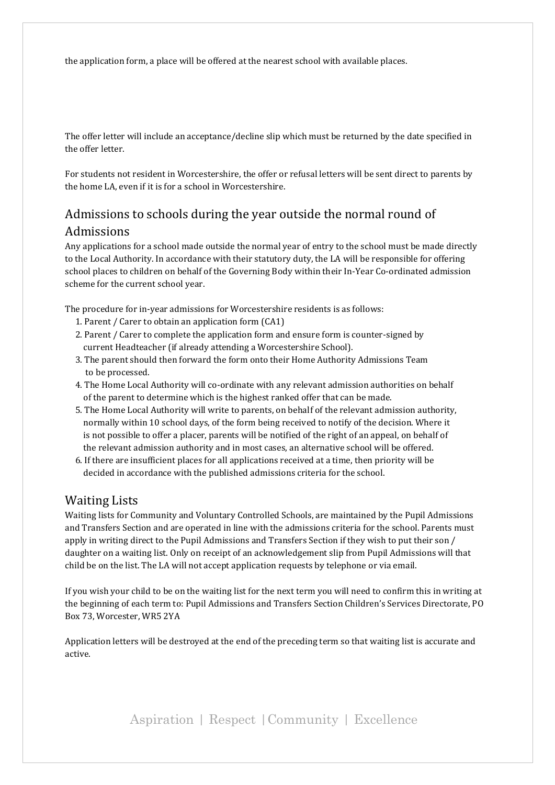the application form, a place will be offered at the nearest school with available places.

The offer letter will include an acceptance/decline slip which must be returned by the date specified in the offer letter.

For students not resident in Worcestershire, the offer or refusal letters will be sent direct to parents by the home LA, even if it is for a school in Worcestershire.

# Admissions to schools during the year outside the normal round of Admissions

Any applications for a school made outside the normal year of entry to the school must be made directly to the Local Authority. In accordance with their statutory duty, the LA will be responsible for offering school places to children on behalf of the Governing Body within their In-Year Co-ordinated admission scheme for the current school year.

The procedure for in-year admissions for Worcestershire residents is as follows:

- 1. Parent / Carer to obtain an application form (CA1)
- 2. Parent / Carer to complete the application form and ensure form is counter-signed by current Headteacher (if already attending a Worcestershire School).
- 3. The parent should then forward the form onto their Home Authority Admissions Team to be processed.
- 4. The Home Local Authority will co-ordinate with any relevant admission authorities on behalf of the parent to determine which is the highest ranked offer that can be made.
- 5. The Home Local Authority will write to parents, on behalf of the relevant admission authority, normally within 10 school days, of the form being received to notify of the decision. Where it is not possible to offer a placer, parents will be notified of the right of an appeal, on behalf of the relevant admission authority and in most cases, an alternative school will be offered.
- 6. If there are insufficient places for all applications received at a time, then priority will be decided in accordance with the published admissions criteria for the school.

#### Waiting Lists

Waiting lists for Community and Voluntary Controlled Schools, are maintained by the Pupil Admissions and Transfers Section and are operated in line with the admissions criteria for the school. Parents must apply in writing direct to the Pupil Admissions and Transfers Section if they wish to put their son / daughter on a waiting list. Only on receipt of an acknowledgement slip from Pupil Admissions will that child be on the list. The LA will not accept application requests by telephone or via email.

If you wish your child to be on the waiting list for the next term you will need to confirm this in writing at the beginning of each term to: Pupil Admissions and Transfers Section Children's Services Directorate, PO Box 73, Worcester, WR5 2YA

Application letters will be destroyed at the end of the preceding term so that waiting list is accurate and active.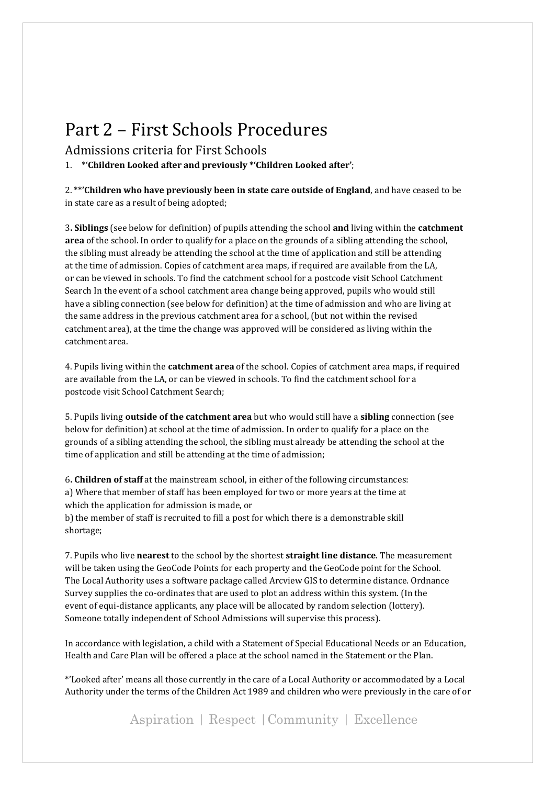# Part 2 – First Schools Procedures

Admissions criteria for First Schools

1. \*'**Children Looked after and previously \*'Children Looked after'**;

2. \*\***'Children who have previously been in state care outside of England**, and have ceased to be in state care as a result of being adopted;

3**. Siblings** (see below for definition) of pupils attending the school **and** living within the **catchment area** of the school. In order to qualify for a place on the grounds of a sibling attending the school, the sibling must already be attending the school at the time of application and still be attending at the time of admission. Copies of catchment area maps, if required are available from the LA, or can be viewed in schools. To find the catchment school for a postcode visit School Catchment Search In the event of a school catchment area change being approved, pupils who would still have a sibling connection (see below for definition) at the time of admission and who are living at the same address in the previous catchment area for a school, (but not within the revised catchment area), at the time the change was approved will be considered as living within the catchment area.

4. Pupils living within the **catchment area** of the school. Copies of catchment area maps, if required are available from the LA, or can be viewed in schools. To find the catchment school for a postcode visit School Catchment Search;

5. Pupils living **outside of the catchment area** but who would still have a **sibling** connection (see below for definition) at school at the time of admission. In order to qualify for a place on the grounds of a sibling attending the school, the sibling must already be attending the school at the time of application and still be attending at the time of admission;

6**. Children of staff** at the mainstream school, in either of the following circumstances: a) Where that member of staff has been employed for two or more years at the time at which the application for admission is made, or b) the member of staff is recruited to fill a post for which there is a demonstrable skill

shortage;

7. Pupils who live **nearest** to the school by the shortest **straight line distance**. The measurement will be taken using the GeoCode Points for each property and the GeoCode point for the School. The Local Authority uses a software package called Arcview GIS to determine distance. Ordnance Survey supplies the co-ordinates that are used to plot an address within this system. (In the event of equi-distance applicants, any place will be allocated by random selection (lottery). Someone totally independent of School Admissions will supervise this process).

In accordance with legislation, a child with a Statement of Special Educational Needs or an Education, Health and Care Plan will be offered a place at the school named in the Statement or the Plan.

\*'Looked after' means all those currently in the care of a Local Authority or accommodated by a Local Authority under the terms of the Children Act 1989 and children who were previously in the care of or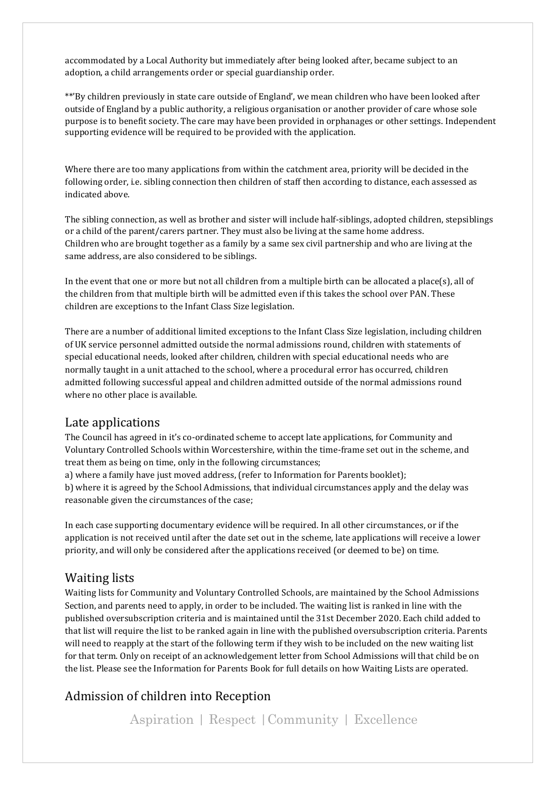accommodated by a Local Authority but immediately after being looked after, became subject to an adoption, a child arrangements order or special guardianship order.

\*\*'By children previously in state care outside of England', we mean children who have been looked after outside of England by a public authority, a religious organisation or another provider of care whose sole purpose is to benefit society. The care may have been provided in orphanages or other settings. Independent supporting evidence will be required to be provided with the application.

Where there are too many applications from within the catchment area, priority will be decided in the following order, i.e. sibling connection then children of staff then according to distance, each assessed as indicated above.

The sibling connection, as well as brother and sister will include half-siblings, adopted children, stepsiblings or a child of the parent/carers partner. They must also be living at the same home address. Children who are brought together as a family by a same sex civil partnership and who are living at the same address, are also considered to be siblings.

In the event that one or more but not all children from a multiple birth can be allocated a place(s), all of the children from that multiple birth will be admitted even if this takes the school over PAN. These children are exceptions to the Infant Class Size legislation.

There are a number of additional limited exceptions to the Infant Class Size legislation, including children of UK service personnel admitted outside the normal admissions round, children with statements of special educational needs, looked after children, children with special educational needs who are normally taught in a unit attached to the school, where a procedural error has occurred, children admitted following successful appeal and children admitted outside of the normal admissions round where no other place is available.

#### Late applications

The Council has agreed in it's co-ordinated scheme to accept late applications, for Community and Voluntary Controlled Schools within Worcestershire, within the time-frame set out in the scheme, and treat them as being on time, only in the following circumstances;

a) where a family have just moved address, (refer to Information for Parents booklet); b) where it is agreed by the School Admissions, that individual circumstances apply and the delay was reasonable given the circumstances of the case;

In each case supporting documentary evidence will be required. In all other circumstances, or if the application is not received until after the date set out in the scheme, late applications will receive a lower priority, and will only be considered after the applications received (or deemed to be) on time.

#### Waiting lists

Waiting lists for Community and Voluntary Controlled Schools, are maintained by the School Admissions Section, and parents need to apply, in order to be included. The waiting list is ranked in line with the published oversubscription criteria and is maintained until the 31st December 2020. Each child added to that list will require the list to be ranked again in line with the published oversubscription criteria. Parents will need to reapply at the start of the following term if they wish to be included on the new waiting list for that term. Only on receipt of an acknowledgement letter from School Admissions will that child be on the list. Please see the Information for Parents Book for full details on how Waiting Lists are operated.

# Admission of children into Reception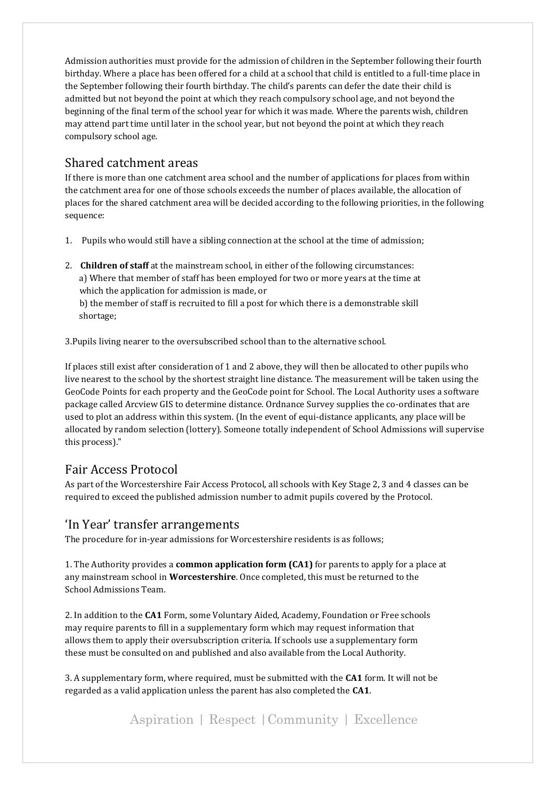Admission authorities must provide for the admission of children in the September following their fourth birthday. Where a place has been offered for a child at a school that child is entitled to a full-time place in the September following their fourth birthday. The child's parents can defer the date their child is admitted but not beyond the point at which they reach compulsory school age, and not beyond the beginning of the final term of the school year for which it was made. Where the parents wish, children may attend part time until later in the school year, but not beyond the point at which they reach compulsory school age.

#### Shared catchment areas

If there is more than one catchment area school and the number of applications for places from within the catchment area for one of those schools exceeds the number of places available, the allocation of places for the shared catchment area will be decided according to the following priorities, in the following sequence:

- 1. Pupils who would still have a sibling connection at the school at the time of admission;
- 2. **Children of staff** at the mainstream school, in either of the following circumstances: a) Where that member of staff has been employed for two or more years at the time at which the application for admission is made, or b) the member of staff is recruited to fill a post for which there is a demonstrable skill shortage;

3.Pupils living nearer to the oversubscribed school than to the alternative school.

If places still exist after consideration of 1 and 2 above, they will then be allocated to other pupils who live nearest to the school by the shortest straight line distance. The measurement will be taken using the GeoCode Points for each property and the GeoCode point for School. The Local Authority uses a software package called Arcview GIS to determine distance. Ordnance Survey supplies the co-ordinates that are used to plot an address within this system. (In the event of equi-distance applicants, any place will be allocated by random selection (lottery). Someone totally independent of School Admissions will supervise this process)."

#### Fair Access Protocol

As part of the Worcestershire Fair Access Protocol, all schools with Key Stage 2, 3 and 4 classes can be required to exceed the published admission number to admit pupils covered by the Protocol.

#### 'In Year' transfer arrangements

The procedure for in-year admissions for Worcestershire residents is as follows;

1. The Authority provides a **common application form (CA1)** for parents to apply for a place at any mainstream school in **Worcestershire**. Once completed, this must be returned to the School Admissions Team.

2. In addition to the **CA1** Form, some Voluntary Aided, Academy, Foundation or Free schools may require parents to fill in a supplementary form which may request information that allows them to apply their oversubscription criteria. If schools use a supplementary form these must be consulted on and published and also available from the Local Authority.

3. A supplementary form, where required, must be submitted with the **CA1** form. It will not be regarded as a valid application unless the parent has also completed the **CA1**.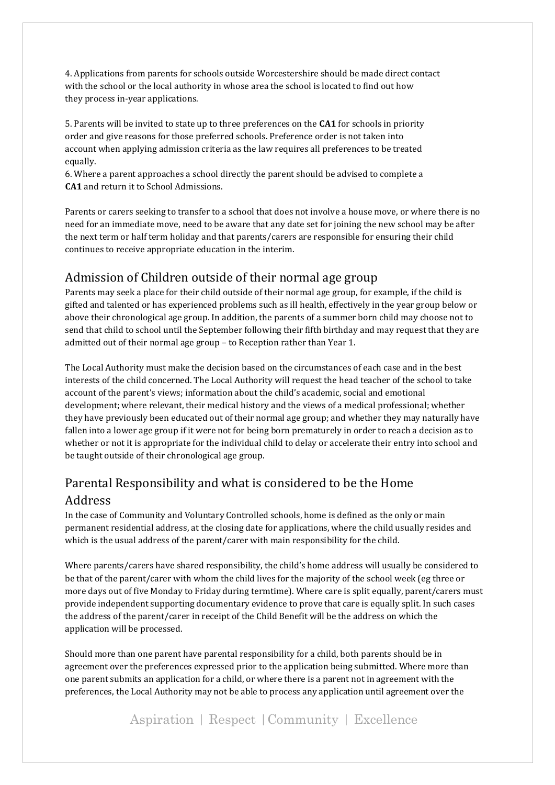4. Applications from parents for schools outside Worcestershire should be made direct contact with the school or the local authority in whose area the school is located to find out how they process in-year applications.

5. Parents will be invited to state up to three preferences on the **CA1** for schools in priority order and give reasons for those preferred schools. Preference order is not taken into account when applying admission criteria as the law requires all preferences to be treated equally.

6. Where a parent approaches a school directly the parent should be advised to complete a **CA1** and return it to School Admissions.

Parents or carers seeking to transfer to a school that does not involve a house move, or where there is no need for an immediate move, need to be aware that any date set for joining the new school may be after the next term or half term holiday and that parents/carers are responsible for ensuring their child continues to receive appropriate education in the interim.

#### Admission of Children outside of their normal age group

Parents may seek a place for their child outside of their normal age group, for example, if the child is gifted and talented or has experienced problems such as ill health, effectively in the year group below or above their chronological age group. In addition, the parents of a summer born child may choose not to send that child to school until the September following their fifth birthday and may request that they are admitted out of their normal age group – to Reception rather than Year 1.

The Local Authority must make the decision based on the circumstances of each case and in the best interests of the child concerned. The Local Authority will request the head teacher of the school to take account of the parent's views; information about the child's academic, social and emotional development; where relevant, their medical history and the views of a medical professional; whether they have previously been educated out of their normal age group; and whether they may naturally have fallen into a lower age group if it were not for being born prematurely in order to reach a decision as to whether or not it is appropriate for the individual child to delay or accelerate their entry into school and be taught outside of their chronological age group.

# Parental Responsibility and what is considered to be the Home Address

In the case of Community and Voluntary Controlled schools, home is defined as the only or main permanent residential address, at the closing date for applications, where the child usually resides and which is the usual address of the parent/carer with main responsibility for the child.

Where parents/carers have shared responsibility, the child's home address will usually be considered to be that of the parent/carer with whom the child lives for the majority of the school week (eg three or more days out of five Monday to Friday during termtime). Where care is split equally, parent/carers must provide independent supporting documentary evidence to prove that care is equally split. In such cases the address of the parent/carer in receipt of the Child Benefit will be the address on which the application will be processed.

Should more than one parent have parental responsibility for a child, both parents should be in agreement over the preferences expressed prior to the application being submitted. Where more than one parent submits an application for a child, or where there is a parent not in agreement with the preferences, the Local Authority may not be able to process any application until agreement over the